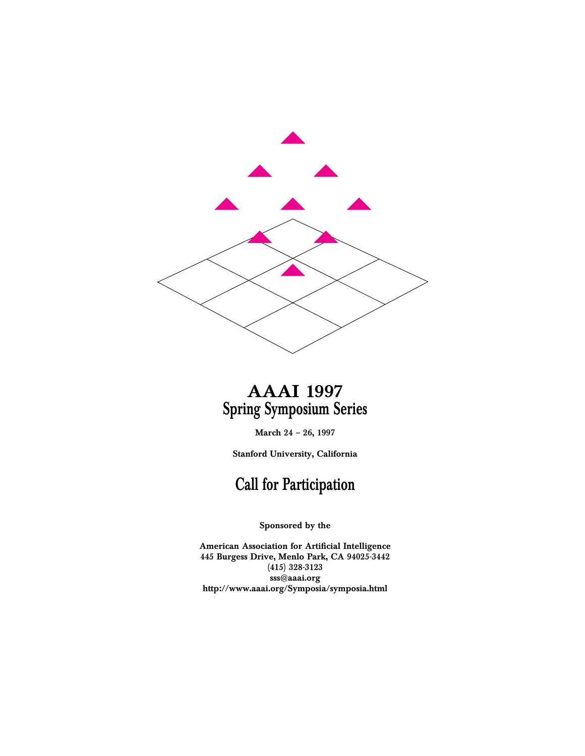

# **AAAI 1997 Spring Symposium Series**

**March 24 – 26, 1997**

**Stanford University, California**

## **Call for Participation**

**Sponsored by the**

**American Association for Artificial Intelligence 445 Burgess Drive, Menlo Park, CA 94025-3442 (415) 328-3123 sss@aaai.org http://www.aaai.org/Symposia/symposia.html**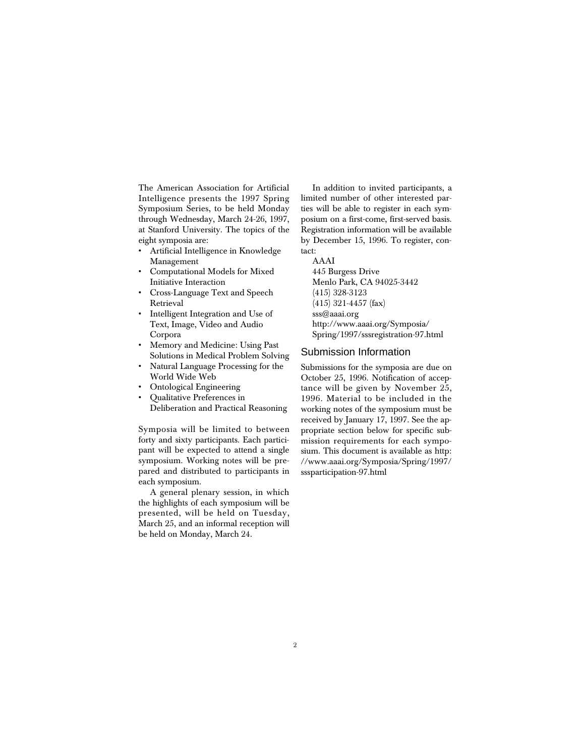The American Association for Artificial Intelligence presents the 1997 Spring Symposium Series, to be held Monday through Wednesday, March 24-26, 1997, at Stanford University. The topics of the eight symposia are:

- Artificial Intelligence in Knowledge Management
- Computational Models for Mixed Initiative Interaction
- Cross-Language Text and Speech Retrieval
- Intelligent Integration and Use of Text, Image, Video and Audio Corpora
- Memory and Medicine: Using Past Solutions in Medical Problem Solving
- Natural Language Processing for the World Wide Web
- Ontological Engineering
- Qualitative Preferences in

Deliberation and Practical Reasoning

Symposia will be limited to between forty and sixty participants. Each participant will be expected to attend a single symposium. Working notes will be prepared and distributed to participants in each symposium.

A general plenary session, in which the highlights of each symposium will be presented, will be held on Tuesday, March 25, and an informal reception will be held on Monday, March 24.

In addition to invited participants, a limited number of other interested parties will be able to register in each symposium on a first-come, first-served basis. Registration information will be available by December 15, 1996. To register, contact:

AAAI 445 Burgess Drive Menlo Park, CA 94025-3442 (415) 328-3123 (415) 321-4457 (fax) sss@aaai.org http://www.aaai.org/Symposia/ Spring/1997/sssregistration-97.html

#### Submission Information

Submissions for the symposia are due on October 25, 1996. Notification of acceptance will be given by November 25, 1996. Material to be included in the working notes of the symposium must be received by January 17, 1997. See the appropriate section below for specific submission requirements for each symposium. This document is available as http: //www.aaai.org/Symposia/Spring/1997/ sssparticipation-97.html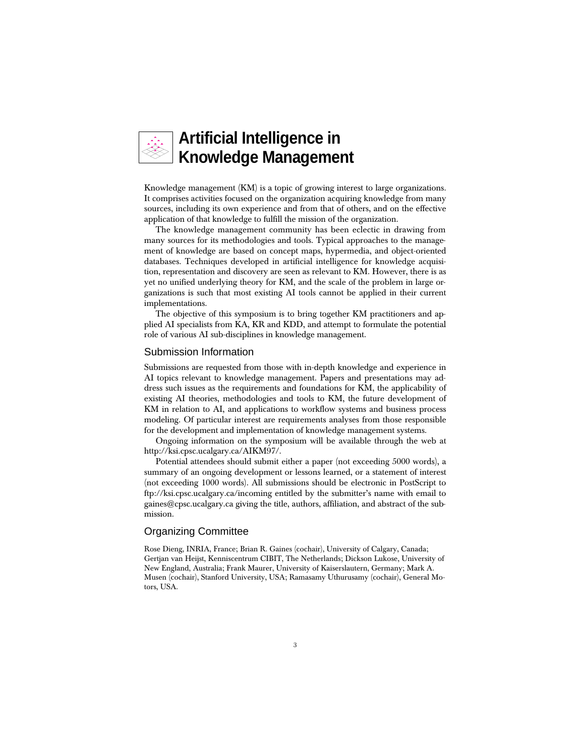

Knowledge management (KM) is a topic of growing interest to large organizations. It comprises activities focused on the organization acquiring knowledge from many sources, including its own experience and from that of others, and on the effective application of that knowledge to fulfill the mission of the organization.

The knowledge management community has been eclectic in drawing from many sources for its methodologies and tools. Typical approaches to the management of knowledge are based on concept maps, hypermedia, and object-oriented databases. Techniques developed in artificial intelligence for knowledge acquisition, representation and discovery are seen as relevant to KM. However, there is as yet no unified underlying theory for KM, and the scale of the problem in large organizations is such that most existing AI tools cannot be applied in their current implementations.

The objective of this symposium is to bring together KM practitioners and applied AI specialists from KA, KR and KDD, and attempt to formulate the potential role of various AI sub-disciplines in knowledge management.

#### Submission Information

Submissions are requested from those with in-depth knowledge and experience in AI topics relevant to knowledge management. Papers and presentations may address such issues as the requirements and foundations for KM, the applicability of existing AI theories, methodologies and tools to KM, the future development of KM in relation to AI, and applications to workflow systems and business process modeling. Of particular interest are requirements analyses from those responsible for the development and implementation of knowledge management systems.

Ongoing information on the symposium will be available through the web at http://ksi.cpsc.ucalgary.ca/AIKM97/.

Potential attendees should submit either a paper (not exceeding 5000 words), a summary of an ongoing development or lessons learned, or a statement of interest (not exceeding 1000 words). All submissions should be electronic in PostScript to ftp://ksi.cpsc.ucalgary.ca/incoming entitled by the submitter's name with email to gaines@cpsc.ucalgary.ca giving the title, authors, affiliation, and abstract of the submission.

### Organizing Committee

Rose Dieng, INRIA, France; Brian R. Gaines (cochair), University of Calgary, Canada; Gertjan van Heijst, Kenniscentrum CIBIT, The Netherlands; Dickson Lukose, University of New England, Australia; Frank Maurer, University of Kaiserslautern, Germany; Mark A. Musen (cochair), Stanford University, USA; Ramasamy Uthurusamy (cochair), General Motors, USA.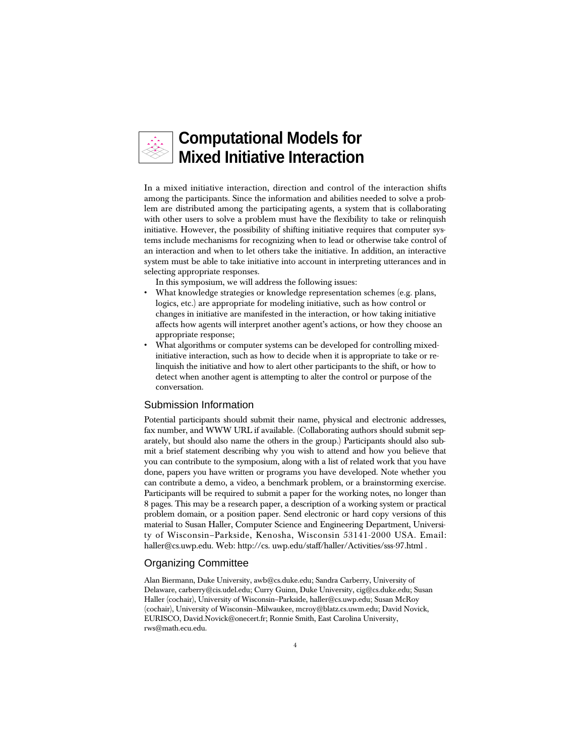## **Computational Models for Mixed Initiative Interaction**

In a mixed initiative interaction, direction and control of the interaction shifts among the participants. Since the information and abilities needed to solve a problem are distributed among the participating agents, a system that is collaborating with other users to solve a problem must have the flexibility to take or relinquish initiative. However, the possibility of shifting initiative requires that computer systems include mechanisms for recognizing when to lead or otherwise take control of an interaction and when to let others take the initiative. In addition, an interactive system must be able to take initiative into account in interpreting utterances and in selecting appropriate responses.

In this symposium, we will address the following issues:

- What knowledge strategies or knowledge representation schemes (e.g. plans, logics, etc.) are appropriate for modeling initiative, such as how control or changes in initiative are manifested in the interaction, or how taking initiative affects how agents will interpret another agent's actions, or how they choose an appropriate response;
- What algorithms or computer systems can be developed for controlling mixedinitiative interaction, such as how to decide when it is appropriate to take or relinquish the initiative and how to alert other participants to the shift, or how to detect when another agent is attempting to alter the control or purpose of the conversation.

#### Submission Information

Potential participants should submit their name, physical and electronic addresses, fax number, and WWW URL if available. (Collaborating authors should submit separately, but should also name the others in the group.) Participants should also submit a brief statement describing why you wish to attend and how you believe that you can contribute to the symposium, along with a list of related work that you have done, papers you have written or programs you have developed. Note whether you can contribute a demo, a video, a benchmark problem, or a brainstorming exercise. Participants will be required to submit a paper for the working notes, no longer than 8 pages. This may be a research paper, a description of a working system or practical problem domain, or a position paper. Send electronic or hard copy versions of this material to Susan Haller, Computer Science and Engineering Department, University of Wisconsin–Parkside, Kenosha, Wisconsin 53141-2000 USA. Email: haller@cs.uwp.edu. Web: http://cs. uwp.edu/staff/haller/Activities/sss-97.html .

#### Organizing Committee

Alan Biermann, Duke University, awb@cs.duke.edu; Sandra Carberry, University of Delaware, carberry@cis.udel.edu; Curry Guinn, Duke University, cig@cs.duke.edu; Susan Haller (cochair), University of Wisconsin–Parkside, haller@cs.uwp.edu; Susan McRoy (cochair), University of Wisconsin–Milwaukee, mcroy@blatz.cs.uwm.edu; David Novick, EURISCO, David.Novick@onecert.fr; Ronnie Smith, East Carolina University, rws@math.ecu.edu.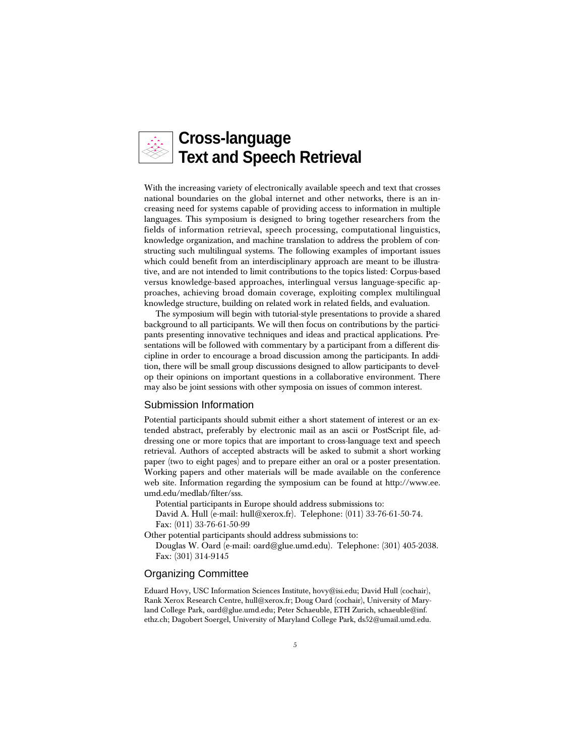

With the increasing variety of electronically available speech and text that crosses national boundaries on the global internet and other networks, there is an increasing need for systems capable of providing access to information in multiple languages. This symposium is designed to bring together researchers from the fields of information retrieval, speech processing, computational linguistics, knowledge organization, and machine translation to address the problem of constructing such multilingual systems. The following examples of important issues which could benefit from an interdisciplinary approach are meant to be illustrative, and are not intended to limit contributions to the topics listed: Corpus-based versus knowledge-based approaches, interlingual versus language-specific approaches, achieving broad domain coverage, exploiting complex multilingual knowledge structure, building on related work in related fields, and evaluation.

The symposium will begin with tutorial-style presentations to provide a shared background to all participants. We will then focus on contributions by the participants presenting innovative techniques and ideas and practical applications. Presentations will be followed with commentary by a participant from a different discipline in order to encourage a broad discussion among the participants. In addition, there will be small group discussions designed to allow participants to develop their opinions on important questions in a collaborative environment. There may also be joint sessions with other symposia on issues of common interest.

#### Submission Information

Potential participants should submit either a short statement of interest or an extended abstract, preferably by electronic mail as an ascii or PostScript file, addressing one or more topics that are important to cross-language text and speech retrieval. Authors of accepted abstracts will be asked to submit a short working paper (two to eight pages) and to prepare either an oral or a poster presentation. Working papers and other materials will be made available on the conference web site. Information regarding the symposium can be found at http://www.ee. umd.edu/medlab/filter/sss.

Potential participants in Europe should address submissions to:

David A. Hull (e-mail: hull@xerox.fr). Telephone: (011) 33-76-61-50-74. Fax: (011) 33-76-61-50-99

Other potential participants should address submissions to:

Douglas W. Oard (e-mail: oard@glue.umd.edu). Telephone: (301) 405-2038. Fax: (301) 314-9145

#### Organizing Committee

Eduard Hovy, USC Information Sciences Institute, hovy@isi.edu; David Hull (cochair), Rank Xerox Research Centre, hull@xerox.fr; Doug Oard (cochair), University of Maryland College Park, oard@glue.umd.edu; Peter Schaeuble, ETH Zurich, schaeuble@inf. ethz.ch; Dagobert Soergel, University of Maryland College Park, ds52@umail.umd.edu.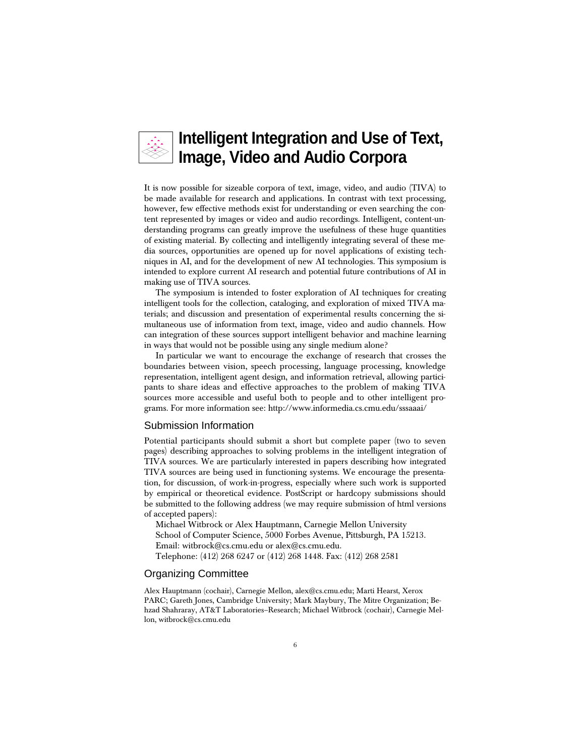

It is now possible for sizeable corpora of text, image, video, and audio (TIVA) to be made available for research and applications. In contrast with text processing, however, few effective methods exist for understanding or even searching the content represented by images or video and audio recordings. Intelligent, content-understanding programs can greatly improve the usefulness of these huge quantities of existing material. By collecting and intelligently integrating several of these media sources, opportunities are opened up for novel applications of existing techniques in AI, and for the development of new AI technologies. This symposium is intended to explore current AI research and potential future contributions of AI in making use of TIVA sources.

The symposium is intended to foster exploration of AI techniques for creating intelligent tools for the collection, cataloging, and exploration of mixed TIVA materials; and discussion and presentation of experimental results concerning the simultaneous use of information from text, image, video and audio channels. How can integration of these sources support intelligent behavior and machine learning in ways that would not be possible using any single medium alone?

In particular we want to encourage the exchange of research that crosses the boundaries between vision, speech processing, language processing, knowledge representation, intelligent agent design, and information retrieval, allowing participants to share ideas and effective approaches to the problem of making TIVA sources more accessible and useful both to people and to other intelligent programs. For more information see: http://www.informedia.cs.cmu.edu/sssaaai/

#### Submission Information

Potential participants should submit a short but complete paper (two to seven pages) describing approaches to solving problems in the intelligent integration of TIVA sources. We are particularly interested in papers describing how integrated TIVA sources are being used in functioning systems. We encourage the presentation, for discussion, of work-in-progress, especially where such work is supported by empirical or theoretical evidence. PostScript or hardcopy submissions should be submitted to the following address (we may require submission of html versions of accepted papers):

Michael Witbrock or Alex Hauptmann, Carnegie Mellon University School of Computer Science, 5000 Forbes Avenue, Pittsburgh, PA 15213. Email: witbrock@cs.cmu.edu or alex@cs.cmu.edu.

Telephone: (412) 268 6247 or (412) 268 1448. Fax: (412) 268 2581

#### Organizing Committee

Alex Hauptmann (cochair), Carnegie Mellon, alex@cs.cmu.edu; Marti Hearst, Xerox PARC; Gareth Jones, Cambridge University; Mark Maybury, The Mitre Organization; Behzad Shahraray, AT&T Laboratories–Research; Michael Witbrock (cochair), Carnegie Mellon, witbrock@cs.cmu.edu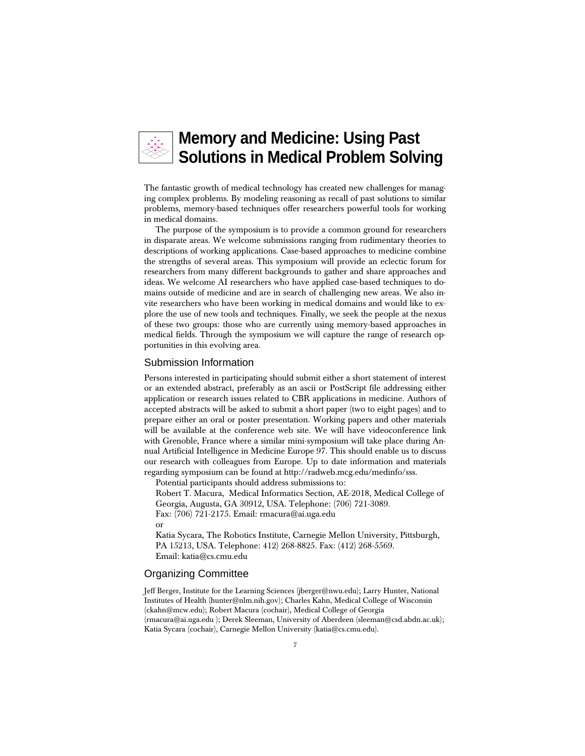

The fantastic growth of medical technology has created new challenges for managing complex problems. By modeling reasoning as recall of past solutions to similar problems, memory-based techniques offer researchers powerful tools for working in medical domains.

The purpose of the symposium is to provide a common ground for researchers in disparate areas. We welcome submissions ranging from rudimentary theories to descriptions of working applications. Case-based approaches to medicine combine the strengths of several areas. This symposium will provide an eclectic forum for researchers from many different backgrounds to gather and share approaches and ideas. We welcome AI researchers who have applied case-based techniques to domains outside of medicine and are in search of challenging new areas. We also invite researchers who have been working in medical domains and would like to explore the use of new tools and techniques. Finally, we seek the people at the nexus of these two groups: those who are currently using memory-based approaches in medical fields. Through the symposium we will capture the range of research opportunities in this evolving area.

#### Submission Information

Persons interested in participating should submit either a short statement of interest or an extended abstract, preferably as an ascii or PostScript file addressing either application or research issues related to CBR applications in medicine. Authors of accepted abstracts will be asked to submit a short paper (two to eight pages) and to prepare either an oral or poster presentation. Working papers and other materials will be available at the conference web site. We will have videoconference link with Grenoble, France where a similar mini-symposium will take place during Annual Artificial Intelligence in Medicine Europe 97. This should enable us to discuss our research with colleagues from Europe. Up to date information and materials regarding symposium can be found at http://radweb.mcg.edu/medinfo/sss.

Potential participants should address submissions to:

Robert T. Macura, Medical Informatics Section, AE-2018, Medical College of Georgia, Augusta, GA 30912, USA. Telephone: (706) 721-3089.

Fax: (706) 721-2175. Email: rmacura@ai.uga.edu

or

Katia Sycara, The Robotics Institute, Carnegie Mellon University, Pittsburgh, PA 15213, USA. Telephone: 412) 268-8825. Fax: (412) 268-5569. Email: katia@cs.cmu.edu

#### Organizing Committee

Jeff Berger, Institute for the Learning Sciences (jberger@nwu.edu); Larry Hunter, National Institutes of Health (hunter@nlm.nih.gov); Charles Kahn, Medical College of Wisconsin (ckahn@mcw.edu); Robert Macura (cochair), Medical College of Georgia (rmacura@ai.uga.edu ); Derek Sleeman, University of Aberdeen (sleeman@csd.abdn.ac.uk); Katia Sycara (cochair), Carnegie Mellon University (katia@cs.cmu.edu).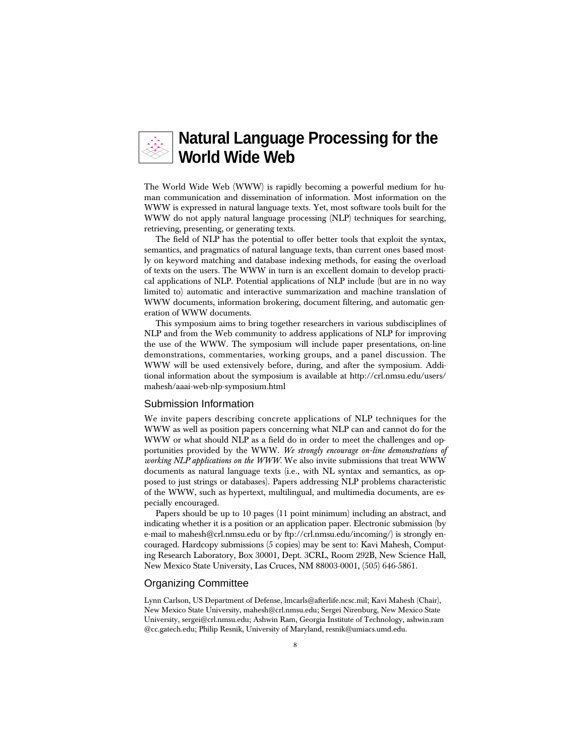### **Natural Language Processing for the World Wide Web**

The World Wide Web (WWW) is rapidly becoming a powerful medium for human communication and dissemination of information. Most information on the WWW is expressed in natural language texts. Yet, most software tools built for the WWW do not apply natural language processing (NLP) techniques for searching, retrieving, presenting, or generating texts.

The field of NLP has the potential to offer better tools that exploit the syntax, semantics, and pragmatics of natural language texts, than current ones based mostly on keyword matching and database indexing methods, for easing the overload of texts on the users. The WWW in turn is an excellent domain to develop practical applications of NLP. Potential applications of NLP include (but are in no way limited to) automatic and interactive summarization and machine translation of WWW documents, information brokering, document filtering, and automatic generation of WWW documents.

This symposium aims to bring together researchers in various subdisciplines of NLP and from the Web community to address applications of NLP for improving the use of the WWW. The symposium will include paper presentations, on-line demonstrations, commentaries, working groups, and a panel discussion. The WWW will be used extensively before, during, and after the symposium. Additional information about the symposium is available at http://crl.nmsu.edu/users/ mahesh/aaai-web-nlp-symposium.html

#### Submission Information

We invite papers describing concrete applications of NLP techniques for the WWW as well as position papers concerning what NLP can and cannot do for the WWW or what should NLP as a field do in order to meet the challenges and opportunities provided by the WWW. *We strongly encourage on-line demonstrations of working NLP applications on the WWW.* We also invite submissions that treat WWW documents as natural language texts (i.e., with NL syntax and semantics, as opposed to just strings or databases). Papers addressing NLP problems characteristic of the WWW, such as hypertext, multilingual, and multimedia documents, are especially encouraged.

Papers should be up to 10 pages (11 point minimum) including an abstract, and indicating whether it is a position or an application paper. Electronic submission (by e-mail to mahesh@crl.nmsu.edu or by ftp://crl.nmsu.edu/incoming/) is strongly encouraged. Hardcopy submissions (5 copies) may be sent to: Kavi Mahesh, Computing Research Laboratory, Box 30001, Dept. 3CRL, Room 292B, New Science Hall, New Mexico State University, Las Cruces, NM 88003-0001, (505) 646-5861.

#### Organizing Committee

Lynn Carlson, US Department of Defense, lmcarls@afterlife.ncsc.mil; Kavi Mahesh (Chair), New Mexico State University, mahesh@crl.nmsu.edu; Sergei Nirenburg, New Mexico State University, sergei@crl.nmsu.edu; Ashwin Ram, Georgia Institute of Technology, ashwin.ram @cc.gatech.edu; Philip Resnik, University of Maryland, resnik@umiacs.umd.edu.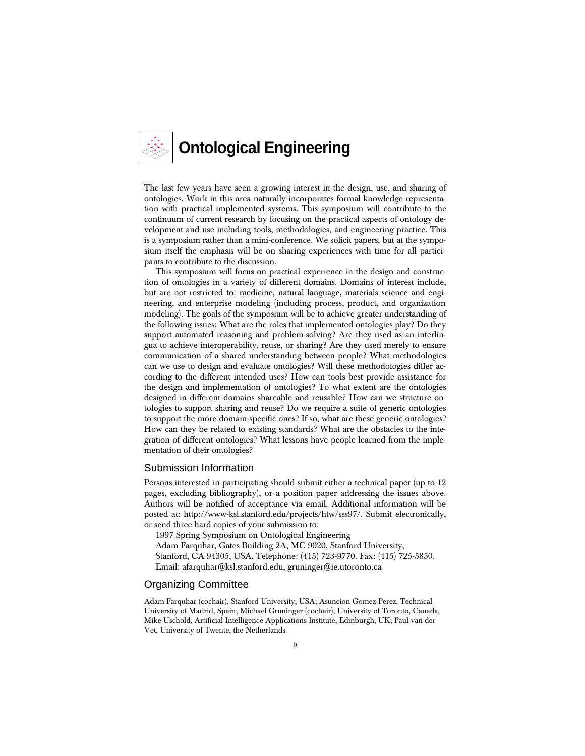

The last few years have seen a growing interest in the design, use, and sharing of ontologies. Work in this area naturally incorporates formal knowledge representation with practical implemented systems. This symposium will contribute to the continuum of current research by focusing on the practical aspects of ontology development and use including tools, methodologies, and engineering practice. This is a symposium rather than a mini-conference. We solicit papers, but at the symposium itself the emphasis will be on sharing experiences with time for all participants to contribute to the discussion.

This symposium will focus on practical experience in the design and construction of ontologies in a variety of different domains. Domains of interest include, but are not restricted to: medicine, natural language, materials science and engineering, and enterprise modeling (including process, product, and organization modeling). The goals of the symposium will be to achieve greater understanding of the following issues: What are the roles that implemented ontologies play? Do they support automated reasoning and problem-solving? Are they used as an interlingua to achieve interoperability, reuse, or sharing? Are they used merely to ensure communication of a shared understanding between people? What methodologies can we use to design and evaluate ontologies? Will these methodologies differ according to the different intended uses? How can tools best provide assistance for the design and implementation of ontologies? To what extent are the ontologies designed in different domains shareable and reusable? How can we structure ontologies to support sharing and reuse? Do we require a suite of generic ontologies to support the more domain-specific ones? If so, what are these generic ontologies? How can they be related to existing standards? What are the obstacles to the integration of different ontologies? What lessons have people learned from the implementation of their ontologies?

#### Submission Information

Persons interested in participating should submit either a technical paper (up to 12 pages, excluding bibliography), or a position paper addressing the issues above. Authors will be notified of acceptance via email. Additional information will be posted at: http://www-ksl.stanford.edu/projects/htw/sss97/. Submit electronically, or send three hard copies of your submission to:

1997 Spring Symposium on Ontological Engineering

Adam Farquhar, Gates Building 2A, MC 9020, Stanford University,

Stanford, CA 94305, USA. Telephone: (415) 723-9770. Fax: (415) 725-5850. Email: afarquhar@ksl.stanford.edu, gruninger@ie.utoronto.ca

#### Organizing Committee

Adam Farquhar (cochair), Stanford University, USA; Asuncion Gomez-Perez, Technical University of Madrid, Spain; Michael Gruninger (cochair), University of Toronto, Canada, Mike Uschold, Artificial Intelligence Applications Institute, Edinburgh, UK; Paul van der Vet, University of Twente, the Netherlands.